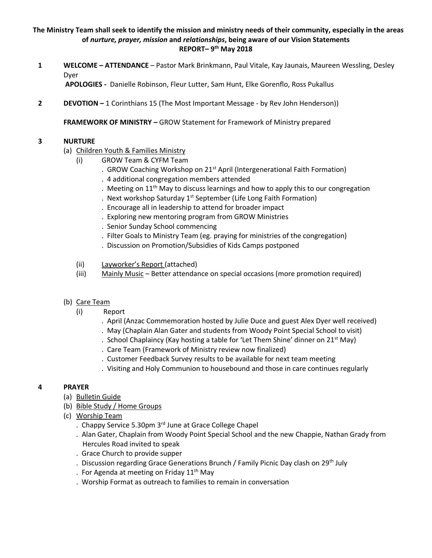## **The Ministry Team shall seek to identify the mission and ministry needs of their community, especially in the areas of** *nurture, prayer, mission* **and** *relationships***, being aware of our Vision Statements REPORT– 9 th May 2018**

**1 WELCOME – ATTENDANCE** – Pastor Mark Brinkmann, Paul Vitale, Kay Jaunais, Maureen Wessling, Desley Dyer

**APOLOGIES -** Danielle Robinson, Fleur Lutter, Sam Hunt, Elke Gorenflo, Ross Pukallus

**2 DEVOTION –** 1 Corinthians 15 (The Most Important Message - by Rev John Henderson))

**FRAMEWORK OF MINISTRY –** GROW Statement for Framework of Ministry prepared

## **3 NURTURE**

- (a) Children Youth & Families Ministry
	- (i) GROW Team & CYFM Team
		- . GROW Coaching Workshop on 21<sup>st</sup> April (Intergenerational Faith Formation)
		- . 4 additional congregation members attended
		- . Meeting on  $11<sup>th</sup>$  May to discuss learnings and how to apply this to our congregation
		- . Next workshop Saturday 1<sup>st</sup> September (Life Long Faith Formation)
		- . Encourage all in leadership to attend for broader impact
		- . Exploring new mentoring program from GROW Ministries
		- . Senior Sunday School commencing
		- . Filter Goals to Ministry Team (eg. praying for ministries of the congregation)
		- . Discussion on Promotion/Subsidies of Kids Camps postponed
	- (ii) Layworker's Report (attached)
	- (iii) Mainly Music Better attendance on special occasions (more promotion required)
- (b) Care Team
	- (i) Report
		- . April (Anzac Commemoration hosted by Julie Duce and guest Alex Dyer well received)
		- . May (Chaplain Alan Gater and students from Woody Point Special School to visit)
		- . School Chaplaincy (Kay hosting a table for 'Let Them Shine' dinner on 21<sup>st</sup> May)
		- . Care Team (Framework of Ministry review now finalized)
		- . Customer Feedback Survey results to be available for next team meeting
		- . Visiting and Holy Communion to housebound and those in care continues regularly

## **4 PRAYER**

- (a) Bulletin Guide
- (b) Bible Study / Home Groups
- (c) Worship Team
	- . Chappy Service 5.30pm 3rd June at Grace College Chapel
	- . Alan Gater, Chaplain from Woody Point Special School and the new Chappie, Nathan Grady from Hercules Road invited to speak
	- . Grace Church to provide supper
	- . Discussion regarding Grace Generations Brunch / Family Picnic Day clash on  $29<sup>th</sup>$  July
	- . For Agenda at meeting on Friday  $11<sup>th</sup>$  May
	- . Worship Format as outreach to families to remain in conversation